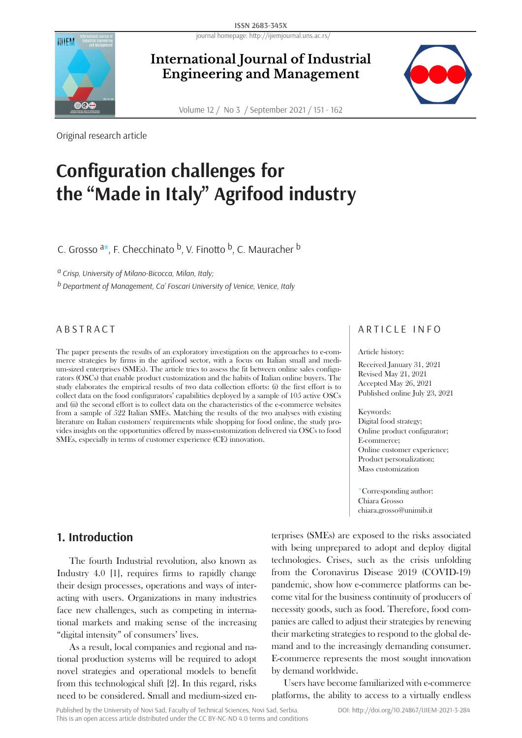journal homepage: http://ijiemjournal.uns.ac.rs/



**International Journal of Industrial Engineering and Management**

Volume 12 / No 3 / September 2021 / 151 - 162

Original research article

# **Configuration challenges for the "Made in Italy" Agrifood industry**

C. Grosso  $a^*$ , F. Checchinato  $b$ , V. Finotto  $b$ , C. Mauracher  $b$ 

*a Crisp, University of Milano-Bicocca, Milan, Italy;* 

*b Department of Management, Ca' Foscari University of Venice, Venice, Italy*

The paper presents the results of an exploratory investigation on the approaches to e-commerce strategies by firms in the agrifood sector, with a focus on Italian small and medium-sized enterprises (SMEs). The article tries to assess the fit between online sales configurators (OSCs) that enable product customization and the habits of Italian online buyers. The study elaborates the empirical results of two data collection efforts: (i) the first effort is to collect data on the food configurators' capabilities deployed by a sample of 105 active OSCs and (ii) the second effort is to collect data on the characteristics of the e-commerce websites from a sample of 522 Italian SMEs. Matching the results of the two analyses with existing literature on Italian customers' requirements while shopping for food online, the study provides insights on the opportunities offered by mass-customization delivered via OSCs to food SMEs, especially in terms of customer experience (CE) innovation.

# **1. Introduction**

The fourth Industrial revolution, also known as Industry 4.0 [1], requires firms to rapidly change their design processes, operations and ways of interacting with users. Organizations in many industries face new challenges, such as competing in international markets and making sense of the increasing "digital intensity" of consumers' lives.

As a result, local companies and regional and national production systems will be required to adopt novel strategies and operational models to benefit from this technological shift [2]. In this regard, risks need to be considered. Small and medium-sized en-

ABSTRACT ARTICLE INFO

#### Article history:

Received January 31, 2021 Revised May 21, 2021 Accepted May 26, 2021 Published online July 23, 2021

#### Keywords:

Digital food strategy; Online product configurator; E-commerce; Online customer experience; Product personalization; Mass customization

\*Corresponding author: Chiara Grosso chiara.grosso@unimib.it

terprises (SMEs) are exposed to the risks associated with being unprepared to adopt and deploy digital technologies. Crises, such as the crisis unfolding from the Coronavirus Disease 2019 (COVID-19) pandemic, show how e-commerce platforms can become vital for the business continuity of producers of necessity goods, such as food. Therefore, food companies are called to adjust their strategies by renewing their marketing strategies to respond to the global demand and to the increasingly demanding consumer. E-commerce represents the most sought innovation by demand worldwide.

Users have become familiarized with e-commerce platforms, the ability to access to a virtually endless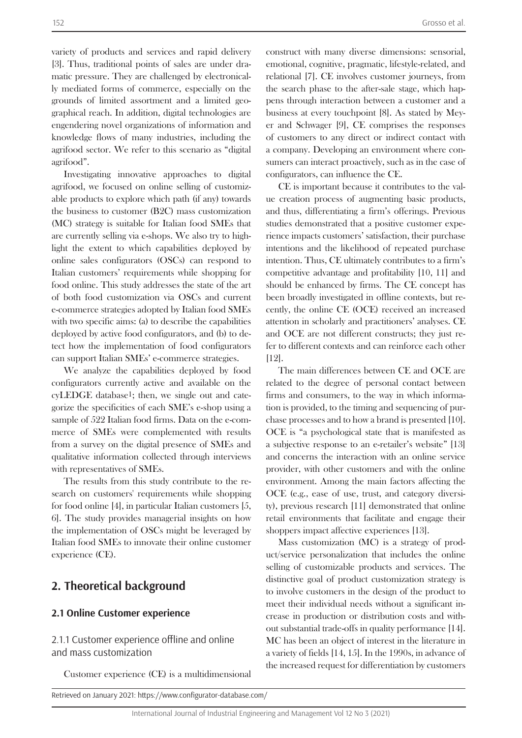variety of products and services and rapid delivery [3]. Thus, traditional points of sales are under dramatic pressure. They are challenged by electronically mediated forms of commerce, especially on the grounds of limited assortment and a limited geographical reach. In addition, digital technologies are engendering novel organizations of information and knowledge flows of many industries, including the agrifood sector. We refer to this scenario as "digital agrifood".

Investigating innovative approaches to digital agrifood, we focused on online selling of customizable products to explore which path (if any) towards the business to customer (B2C) mass customization (MC) strategy is suitable for Italian food SMEs that are currently selling via e-shops. We also try to highlight the extent to which capabilities deployed by online sales configurators (OSCs) can respond to Italian customers' requirements while shopping for food online. This study addresses the state of the art of both food customization via OSCs and current e-commerce strategies adopted by Italian food SMEs with two specific aims: (a) to describe the capabilities deployed by active food configurators, and (b) to detect how the implementation of food configurators can support Italian SMEs' e-commerce strategies.

We analyze the capabilities deployed by food configurators currently active and available on the cyLEDGE database1; then, we single out and categorize the specificities of each SME's e-shop using a sample of 522 Italian food firms. Data on the e-commerce of SMEs were complemented with results from a survey on the digital presence of SMEs and qualitative information collected through interviews with representatives of SMEs.

The results from this study contribute to the research on customers' requirements while shopping for food online [4], in particular Italian customers [5, 6]. The study provides managerial insights on how the implementation of OSCs might be leveraged by Italian food SMEs to innovate their online customer experience (CE).

# **2. Theoretical background**

### **2.1 Online Customer experience**

2.1.1 Customer experience offline and online and mass customization

Customer experience (CE) is a multidimensional

Retrieved on January 2021: https://www.configurator-database.com/

construct with many diverse dimensions: sensorial, emotional, cognitive, pragmatic, lifestyle-related, and relational [7]. CE involves customer journeys, from the search phase to the after-sale stage, which happens through interaction between a customer and a business at every touchpoint [8]. As stated by Meyer and Schwager [9], CE comprises the responses of customers to any direct or indirect contact with a company. Developing an environment where consumers can interact proactively, such as in the case of configurators, can influence the CE.

CE is important because it contributes to the value creation process of augmenting basic products, and thus, differentiating a firm's offerings. Previous studies demonstrated that a positive customer experience impacts customers' satisfaction, their purchase intentions and the likelihood of repeated purchase intention. Thus, CE ultimately contributes to a firm's competitive advantage and profitability [10, 11] and should be enhanced by firms. The CE concept has been broadly investigated in offline contexts, but recently, the online CE (OCE) received an increased attention in scholarly and practitioners' analyses. CE and OCE are not different constructs; they just refer to different contexts and can reinforce each other [12].

The main differences between CE and OCE are related to the degree of personal contact between firms and consumers, to the way in which information is provided, to the timing and sequencing of purchase processes and to how a brand is presented [10]. OCE is "a psychological state that is manifested as a subjective response to an e-retailer's website" [13] and concerns the interaction with an online service provider, with other customers and with the online environment. Among the main factors affecting the OCE (e.g., ease of use, trust, and category diversity), previous research [11] demonstrated that online retail environments that facilitate and engage their shoppers impact affective experiences [13].

Mass customization (MC) is a strategy of product/service personalization that includes the online selling of customizable products and services. The distinctive goal of product customization strategy is to involve customers in the design of the product to meet their individual needs without a significant increase in production or distribution costs and without substantial trade-offs in quality performance [14]. MC has been an object of interest in the literature in a variety of fields [14, 15]. In the 1990s, in advance of the increased request for differentiation by customers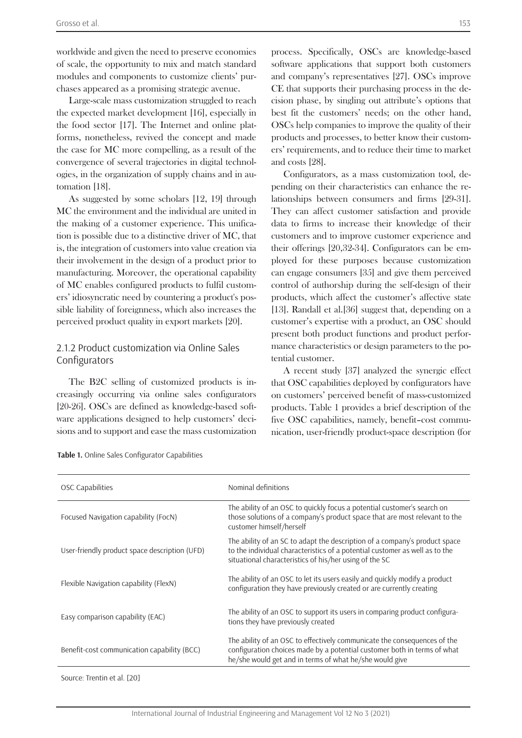worldwide and given the need to preserve economies of scale, the opportunity to mix and match standard modules and components to customize clients' purchases appeared as a promising strategic avenue.

Large-scale mass customization struggled to reach the expected market development [16], especially in the food sector [17]. The Internet and online platforms, nonetheless, revived the concept and made the case for MC more compelling, as a result of the convergence of several trajectories in digital technologies, in the organization of supply chains and in automation [18].

As suggested by some scholars [12, 19] through MC the environment and the individual are united in the making of a customer experience. This unification is possible due to a distinctive driver of MC, that is, the integration of customers into value creation via their involvement in the design of a product prior to manufacturing. Moreover, the operational capability of MC enables configured products to fulfil customers' idiosyncratic need by countering a product's possible liability of foreignness, which also increases the perceived product quality in export markets [20].

#### 2.1.2 Product customization via Online Sales Configurators

The B2C selling of customized products is increasingly occurring via online sales configurators [20-26]. OSCs are defined as knowledge-based software applications designed to help customers' decisions and to support and ease the mass customization

process. Specifically, OSCs are knowledge-based software applications that support both customers and company's representatives [27]. OSCs improve CE that supports their purchasing process in the decision phase, by singling out attribute's options that best fit the customers' needs; on the other hand, OSCs help companies to improve the quality of their products and processes, to better know their customers' requirements, and to reduce their time to market and costs [28].

Configurators, as a mass customization tool, depending on their characteristics can enhance the relationships between consumers and firms [29-31]. They can affect customer satisfaction and provide data to firms to increase their knowledge of their customers and to improve customer experience and their offerings [20,32-34]. Configurators can be employed for these purposes because customization can engage consumers [35] and give them perceived control of authorship during the self-design of their products, which affect the customer's affective state [13]. Randall et al.[36] suggest that, depending on a customer's expertise with a product, an OSC should present both product functions and product performance characteristics or design parameters to the potential customer.

A recent study [37] analyzed the synergic effect that OSC capabilities deployed by configurators have on customers' perceived benefit of mass-customized products. Table 1 provides a brief description of the five OSC capabilities, namely, benefit–cost communication, user-friendly product-space description (for

| OSC Capabilities                              | Nominal definitions                                                                                                                                                                                                 |
|-----------------------------------------------|---------------------------------------------------------------------------------------------------------------------------------------------------------------------------------------------------------------------|
| Focused Navigation capability (FocN)          | The ability of an OSC to quickly focus a potential customer's search on<br>those solutions of a company's product space that are most relevant to the<br>customer himself/herself                                   |
| User-friendly product space description (UFD) | The ability of an SC to adapt the description of a company's product space<br>to the individual characteristics of a potential customer as well as to the<br>situational characteristics of his/her using of the SC |
| Flexible Navigation capability (FlexN)        | The ability of an OSC to let its users easily and quickly modify a product<br>configuration they have previously created or are currently creating                                                                  |
| Easy comparison capability (EAC)              | The ability of an OSC to support its users in comparing product configura-<br>tions they have previously created                                                                                                    |
| Benefit-cost communication capability (BCC)   | The ability of an OSC to effectively communicate the consequences of the<br>configuration choices made by a potential customer both in terms of what<br>he/she would get and in terms of what he/she would give     |
|                                               |                                                                                                                                                                                                                     |

**Table 1.** Online Sales Configurator Capabilities

Source: Trentin et al. [20]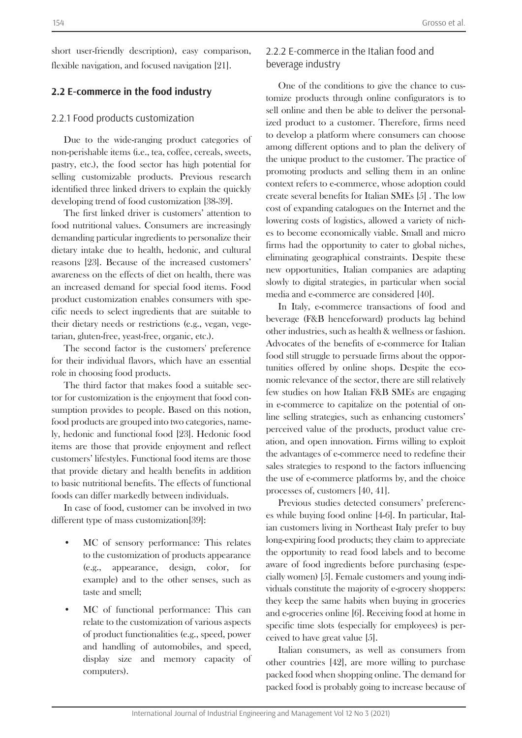short user-friendly description), easy comparison, flexible navigation, and focused navigation [21].

# **2.2 E-commerce in the food industry**

#### 2.2.1 Food products customization

Due to the wide-ranging product categories of non-perishable items (i.e., tea, coffee, cereals, sweets, pastry, etc.), the food sector has high potential for selling customizable products. Previous research identified three linked drivers to explain the quickly developing trend of food customization [38-39].

The first linked driver is customers' attention to food nutritional values. Consumers are increasingly demanding particular ingredients to personalize their dietary intake due to health, hedonic, and cultural reasons [23]. Because of the increased customers' awareness on the effects of diet on health, there was an increased demand for special food items. Food product customization enables consumers with specific needs to select ingredients that are suitable to their dietary needs or restrictions (e.g., vegan, vegetarian, gluten-free, yeast-free, organic, etc.).

The second factor is the customers' preference for their individual flavors, which have an essential role in choosing food products.

The third factor that makes food a suitable sector for customization is the enjoyment that food consumption provides to people. Based on this notion, food products are grouped into two categories, namely, hedonic and functional food [23]. Hedonic food items are those that provide enjoyment and reflect customers' lifestyles. Functional food items are those that provide dietary and health benefits in addition to basic nutritional benefits. The effects of functional foods can differ markedly between individuals.

In case of food, customer can be involved in two different type of mass customization[39]:

- MC of sensory performance: This relates to the customization of products appearance (e.g., appearance, design, color, for example) and to the other senses, such as taste and smell;
- MC of functional performance: This can relate to the customization of various aspects of product functionalities (e.g., speed, power and handling of automobiles, and speed, display size and memory capacity of computers).

# 2.2.2 E-commerce in the Italian food and beverage industry

One of the conditions to give the chance to customize products through online configurators is to sell online and then be able to deliver the personalized product to a customer. Therefore, firms need to develop a platform where consumers can choose among different options and to plan the delivery of the unique product to the customer. The practice of promoting products and selling them in an online context refers to e-commerce, whose adoption could create several benefits for Italian SMEs [5] . The low cost of expanding catalogues on the Internet and the lowering costs of logistics, allowed a variety of niches to become economically viable. Small and micro firms had the opportunity to cater to global niches, eliminating geographical constraints. Despite these new opportunities, Italian companies are adapting slowly to digital strategies, in particular when social media and e-commerce are considered [40].

In Italy, e-commerce transactions of food and beverage (F&B henceforward) products lag behind other industries, such as health & wellness or fashion. Advocates of the benefits of e-commerce for Italian food still struggle to persuade firms about the opportunities offered by online shops. Despite the economic relevance of the sector, there are still relatively few studies on how Italian F&B SMEs are engaging in e-commerce to capitalize on the potential of online selling strategies, such as enhancing customers' perceived value of the products, product value creation, and open innovation. Firms willing to exploit the advantages of e-commerce need to redefine their sales strategies to respond to the factors influencing the use of e-commerce platforms by, and the choice processes of, customers [40, 41].

Previous studies detected consumers' preferences while buying food online [4-6]. In particular, Italian customers living in Northeast Italy prefer to buy long-expiring food products; they claim to appreciate the opportunity to read food labels and to become aware of food ingredients before purchasing (especially women) [5]. Female customers and young individuals constitute the majority of e-grocery shoppers: they keep the same habits when buying in groceries and e-groceries online [6]. Receiving food at home in specific time slots (especially for employees) is perceived to have great value [5].

Italian consumers, as well as consumers from other countries [42], are more willing to purchase packed food when shopping online. The demand for packed food is probably going to increase because of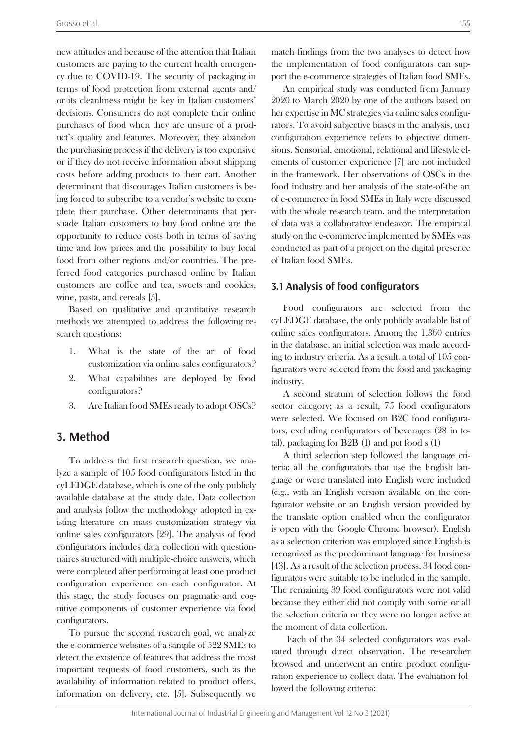new attitudes and because of the attention that Italian customers are paying to the current health emergency due to COVID-19. The security of packaging in terms of food protection from external agents and/ or its cleanliness might be key in Italian customers' decisions. Consumers do not complete their online purchases of food when they are unsure of a product's quality and features. Moreover, they abandon the purchasing process if the delivery is too expensive or if they do not receive information about shipping costs before adding products to their cart. Another determinant that discourages Italian customers is being forced to subscribe to a vendor's website to complete their purchase. Other determinants that persuade Italian customers to buy food online are the opportunity to reduce costs both in terms of saving time and low prices and the possibility to buy local food from other regions and/or countries. The preferred food categories purchased online by Italian customers are coffee and tea, sweets and cookies, wine, pasta, and cereals [5].

Based on qualitative and quantitative research methods we attempted to address the following research questions:

- 1. What is the state of the art of food customization via online sales configurators?
- 2. What capabilities are deployed by food configurators?
- 3. Are Italian food SMEs ready to adopt OSCs?

# **3. Method**

To address the first research question, we analyze a sample of 105 food configurators listed in the cyLEDGE database, which is one of the only publicly available database at the study date. Data collection and analysis follow the methodology adopted in existing literature on mass customization strategy via online sales configurators [29]. The analysis of food configurators includes data collection with questionnaires structured with multiple-choice answers, which were completed after performing at least one product configuration experience on each configurator. At this stage, the study focuses on pragmatic and cognitive components of customer experience via food configurators.

To pursue the second research goal, we analyze the e-commerce websites of a sample of 522 SMEs to detect the existence of features that address the most important requests of food customers, such as the availability of information related to product offers, information on delivery, etc. [5]. Subsequently we

match findings from the two analyses to detect how the implementation of food configurators can support the e-commerce strategies of Italian food SMEs.

An empirical study was conducted from January 2020 to March 2020 by one of the authors based on her expertise in MC strategies via online sales configurators. To avoid subjective biases in the analysis, user configuration experience refers to objective dimensions. Sensorial, emotional, relational and lifestyle elements of customer experience [7] are not included in the framework. Her observations of OSCs in the food industry and her analysis of the state-of-the art of e-commerce in food SMEs in Italy were discussed with the whole research team, and the interpretation of data was a collaborative endeavor. The empirical study on the e-commerce implemented by SMEs was conducted as part of a project on the digital presence of Italian food SMEs.

#### **3.1 Analysis of food configurators**

Food configurators are selected from the cyLEDGE database, the only publicly available list of online sales configurators. Among the 1,360 entries in the database, an initial selection was made according to industry criteria. As a result, a total of 105 configurators were selected from the food and packaging industry.

A second stratum of selection follows the food sector category; as a result, 75 food configurators were selected. We focused on B2C food configurators, excluding configurators of beverages (28 in total), packaging for B2B (1) and pet food s (1)

A third selection step followed the language criteria: all the configurators that use the English language or were translated into English were included (e.g., with an English version available on the configurator website or an English version provided by the translate option enabled when the configurator is open with the Google Chrome browser). English as a selection criterion was employed since English is recognized as the predominant language for business [43]. As a result of the selection process, 34 food configurators were suitable to be included in the sample. The remaining 39 food configurators were not valid because they either did not comply with some or all the selection criteria or they were no longer active at the moment of data collection.

 Each of the 34 selected configurators was evaluated through direct observation. The researcher browsed and underwent an entire product configuration experience to collect data. The evaluation followed the following criteria: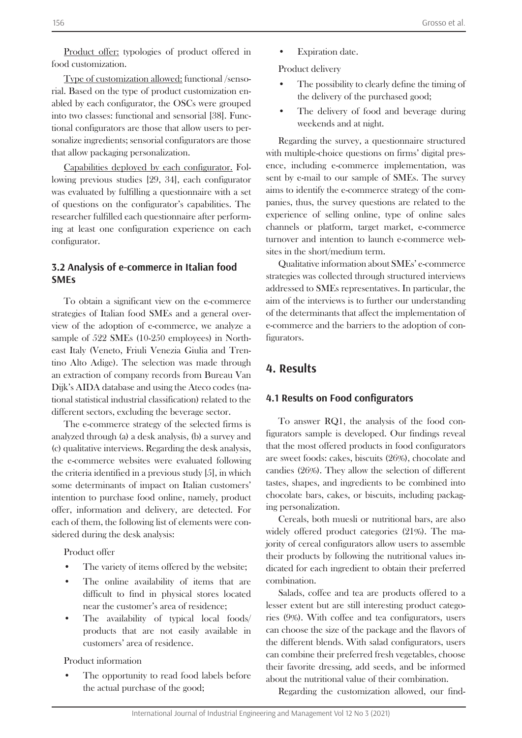Product offer: typologies of product offered in food customization.

Type of customization allowed: functional /sensorial. Based on the type of product customization enabled by each configurator, the OSCs were grouped into two classes: functional and sensorial [38]. Functional configurators are those that allow users to personalize ingredients; sensorial configurators are those that allow packaging personalization.

Capabilities deployed by each configurator. Following previous studies [29, 34], each configurator was evaluated by fulfilling a questionnaire with a set of questions on the configurator's capabilities. The researcher fulfilled each questionnaire after performing at least one configuration experience on each configurator.

# **3.2 Analysis of e-commerce in Italian food SMEs**

To obtain a significant view on the e-commerce strategies of Italian food SMEs and a general overview of the adoption of e-commerce, we analyze a sample of 522 SMEs (10-250 employees) in Northeast Italy (Veneto, Friuli Venezia Giulia and Trentino Alto Adige). The selection was made through an extraction of company records from Bureau Van Dijk's AIDA database and using the Ateco codes (national statistical industrial classification) related to the different sectors, excluding the beverage sector.

The e-commerce strategy of the selected firms is analyzed through (a) a desk analysis, (b) a survey and (c) qualitative interviews. Regarding the desk analysis, the e-commerce websites were evaluated following the criteria identified in a previous study [5], in which some determinants of impact on Italian customers' intention to purchase food online, namely, product offer, information and delivery, are detected. For each of them, the following list of elements were considered during the desk analysis:

Product offer

- The variety of items offered by the website;
- The online availability of items that are difficult to find in physical stores located near the customer's area of residence;
- The availability of typical local foods/ products that are not easily available in customers' area of residence.

Product information

The opportunity to read food labels before the actual purchase of the good;

**Expiration** date.

Product delivery

- The possibility to clearly define the timing of the delivery of the purchased good;
- The delivery of food and beverage during weekends and at night.

Regarding the survey, a questionnaire structured with multiple-choice questions on firms' digital presence, including e-commerce implementation, was sent by e-mail to our sample of SMEs. The survey aims to identify the e-commerce strategy of the companies, thus, the survey questions are related to the experience of selling online, type of online sales channels or platform, target market, e-commerce turnover and intention to launch e-commerce websites in the short/medium term.

Qualitative information about SMEs' e-commerce strategies was collected through structured interviews addressed to SMEs representatives. In particular, the aim of the interviews is to further our understanding of the determinants that affect the implementation of e-commerce and the barriers to the adoption of configurators.

# **4. Results**

#### **4.1 Results on Food configurators**

To answer RQ1, the analysis of the food configurators sample is developed. Our findings reveal that the most offered products in food configurators are sweet foods: cakes, biscuits (26%), chocolate and candies (26%). They allow the selection of different tastes, shapes, and ingredients to be combined into chocolate bars, cakes, or biscuits, including packaging personalization.

Cereals, both muesli or nutritional bars, are also widely offered product categories (21%). The majority of cereal configurators allow users to assemble their products by following the nutritional values indicated for each ingredient to obtain their preferred combination.

Salads, coffee and tea are products offered to a lesser extent but are still interesting product categories (9%). With coffee and tea configurators, users can choose the size of the package and the flavors of the different blends. With salad configurators, users can combine their preferred fresh vegetables, choose their favorite dressing, add seeds, and be informed about the nutritional value of their combination.

Regarding the customization allowed, our find-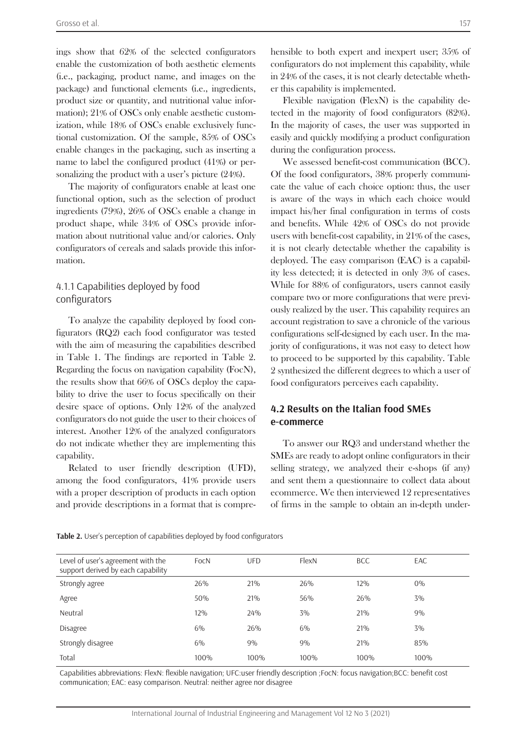ings show that 62% of the selected configurators enable the customization of both aesthetic elements (i.e., packaging, product name, and images on the package) and functional elements (i.e., ingredients, product size or quantity, and nutritional value information); 21% of OSCs only enable aesthetic customization, while 18% of OSCs enable exclusively functional customization. Of the sample, 85% of OSCs enable changes in the packaging, such as inserting a name to label the configured product (41%) or personalizing the product with a user's picture (24%).

The majority of configurators enable at least one functional option, such as the selection of product ingredients (79%), 26% of OSCs enable a change in product shape, while 34% of OSCs provide information about nutritional value and/or calories. Only configurators of cereals and salads provide this information.

### 4.1.1 Capabilities deployed by food configurators

To analyze the capability deployed by food configurators (RQ2) each food configurator was tested with the aim of measuring the capabilities described in Table 1. The findings are reported in Table 2. Regarding the focus on navigation capability (FocN), the results show that 66% of OSCs deploy the capability to drive the user to focus specifically on their desire space of options. Only 12% of the analyzed configurators do not guide the user to their choices of interest. Another 12% of the analyzed configurators do not indicate whether they are implementing this capability.

Related to user friendly description (UFD), among the food configurators, 41% provide users with a proper description of products in each option and provide descriptions in a format that is comprehensible to both expert and inexpert user; 35% of configurators do not implement this capability, while in 24% of the cases, it is not clearly detectable whether this capability is implemented.

Flexible navigation (FlexN) is the capability detected in the majority of food configurators (82%). In the majority of cases, the user was supported in easily and quickly modifying a product configuration during the configuration process.

We assessed benefit-cost communication (BCC). Of the food configurators, 38% properly communicate the value of each choice option: thus, the user is aware of the ways in which each choice would impact his/her final configuration in terms of costs and benefits. While 42% of OSCs do not provide users with benefit-cost capability, in 21% of the cases, it is not clearly detectable whether the capability is deployed. The easy comparison (EAC) is a capability less detected; it is detected in only 3% of cases. While for 88% of configurators, users cannot easily compare two or more configurations that were previously realized by the user. This capability requires an account registration to save a chronicle of the various configurations self-designed by each user. In the majority of configurations, it was not easy to detect how to proceed to be supported by this capability. Table 2 synthesized the different degrees to which a user of food configurators perceives each capability.

## **4.2 Results on the Italian food SMEs e-commerce**

To answer our RQ3 and understand whether the SMEs are ready to adopt online configurators in their selling strategy, we analyzed their e-shops (if any) and sent them a questionnaire to collect data about ecommerce. We then interviewed 12 representatives of firms in the sample to obtain an in-depth under-

| Level of user's agreement with the<br>support derived by each capability | FocN | <b>UFD</b> | FlexN | <b>BCC</b> | EAC   |
|--------------------------------------------------------------------------|------|------------|-------|------------|-------|
| Strongly agree                                                           | 26%  | 21%        | 26%   | 12%        | $0\%$ |
| Agree                                                                    | 50%  | 21%        | 56%   | 26%        | 3%    |
| Neutral                                                                  | 12%  | 24%        | 3%    | 21%        | 9%    |
| <b>Disagree</b>                                                          | 6%   | 26%        | 6%    | 21%        | 3%    |
| Strongly disagree                                                        | 6%   | 9%         | 9%    | 21%        | 85%   |
| Total                                                                    | 100% | 100%       | 100%  | 100%       | 100%  |

**Table 2.** User's perception of capabilities deployed by food configurators

Capabilities abbreviations: FlexN: flexible navigation; UFC:user friendly description ;FocN: focus navigation;BCC: benefit cost communication; EAC: easy comparison. Neutral: neither agree nor disagree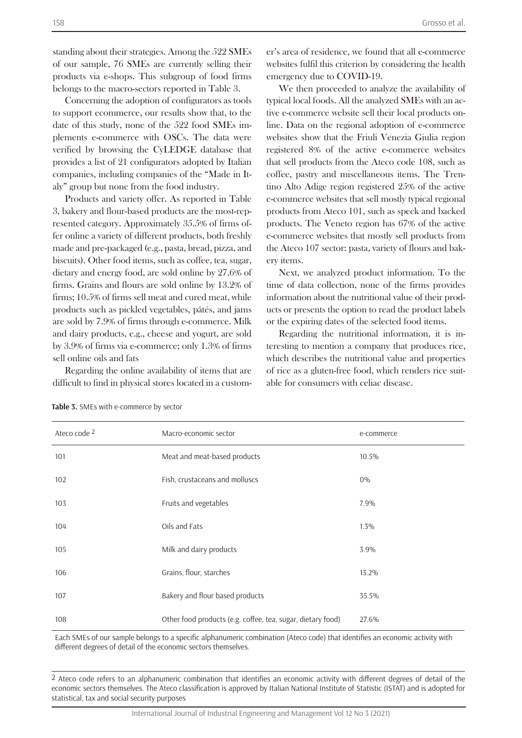standing about their strategies. Among the 522 SMEs of our sample, 76 SMEs are currently selling their products via e-shops. This subgroup of food firms belongs to the macro-sectors reported in Table 3.

Concerning the adoption of configurators as tools to support ecommerce, our results show that, to the date of this study, none of the 522 food SMEs implements e-commerce with OSCs. The data were verified by browsing the CyLEDGE database that provides a list of 21 configurators adopted by Italian companies, including companies of the "Made in Italy" group but none from the food industry.

Products and variety offer. As reported in Table 3, bakery and flour-based products are the most-represented category. Approximately 35.5% of firms offer online a variety of different products, both freshly made and pre-packaged (e.g., pasta, bread, pizza, and biscuits). Other food items, such as coffee, tea, sugar, dietary and energy food, are sold online by 27.6% of firms. Grains and flours are sold online by 13.2% of firms; 10.5% of firms sell meat and cured meat, while products such as pickled vegetables, pâtés, and jams are sold by 7.9% of firms through e-commerce. Milk and dairy products, e.g., cheese and yogurt, are sold by 3.9% of firms via e-commerce; only 1.3% of firms sell online oils and fats

Regarding the online availability of items that are difficult to find in physical stores located in a customer's area of residence, we found that all e-commerce websites fulfil this criterion by considering the health emergency due to COVID-19.

We then proceeded to analyze the availability of typical local foods. All the analyzed SMEs with an active e-commerce website sell their local products online. Data on the regional adoption of e-commerce websites show that the Friuli Venezia Giulia region registered 8% of the active e-commerce websites that sell products from the Ateco code 108, such as coffee, pastry and miscellaneous items. The Trentino Alto Adige region registered 25% of the active e-commerce websites that sell mostly typical regional products from Ateco 101, such as speck and backed products. The Veneto region has 67% of the active e-commerce websites that mostly sell products from the Ateco 107 sector: pasta, variety of flours and bakery items.

Next, we analyzed product information. To the time of data collection, none of the firms provides information about the nutritional value of their products or presents the option to read the product labels or the expiring dates of the selected food items.

Regarding the nutritional information, it is interesting to mention a company that produces rice, which describes the nutritional value and properties of rice as a gluten-free food, which renders rice suitable for consumers with celiac disease.

| Ateco code 2 | Macro-economic sector                                       | e-commerce |
|--------------|-------------------------------------------------------------|------------|
| 101          | Meat and meat-based products                                | 10.5%      |
| 102          | Fish, crustaceans and molluscs                              | $0\%$      |
| 103          | Fruits and vegetables                                       | 7.9%       |
| 104          | Oils and Fats                                               | 1.3%       |
| 105          | Milk and dairy products                                     | 3.9%       |
| 106          | Grains, flour, starches                                     | 13.2%      |
| 107          | Bakery and flour based products                             | 35.5%      |
| 108          | Other food products (e.g. coffee, tea, sugar, dietary food) | 27.6%      |

**Table 3.** SMEs with e-commerce by sector

Each SMEs of our sample belongs to a specific alphanumeric combination (Ateco code) that identifies an economic activity with different degrees of detail of the economic sectors themselves.

2 Ateco code refers to an alphanumeric combination that identifies an economic activity with different degrees of detail of the economic sectors themselves. The Ateco classification is approved by Italian National Institute of Statistic (ISTAT) and is adopted for statistical, tax and social security purposes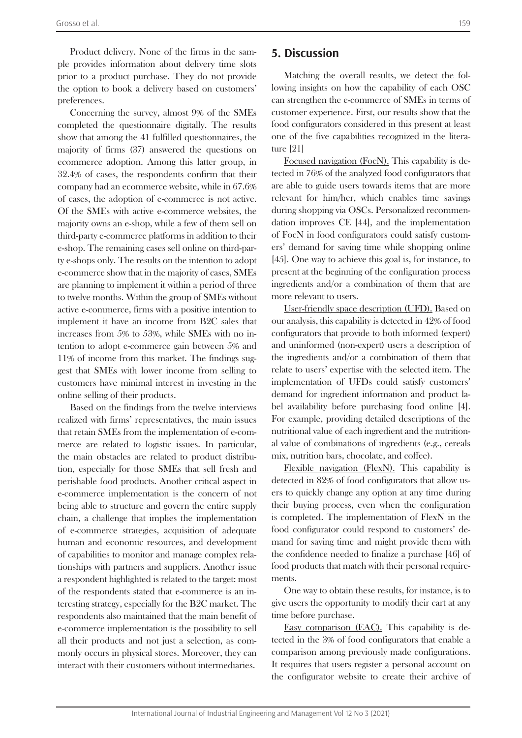Product delivery. None of the firms in the sample provides information about delivery time slots prior to a product purchase. They do not provide the option to book a delivery based on customers' preferences.

Concerning the survey, almost 9% of the SMEs completed the questionnaire digitally. The results show that among the 41 fulfilled questionnaires, the majority of firms (37) answered the questions on ecommerce adoption. Among this latter group, in 32.4% of cases, the respondents confirm that their company had an ecommerce website, while in 67.6% of cases, the adoption of e-commerce is not active. Of the SMEs with active e-commerce websites, the majority owns an e-shop, while a few of them sell on third-party e-commerce platforms in addition to their e-shop. The remaining cases sell online on third-party e-shops only. The results on the intention to adopt e-commerce show that in the majority of cases, SMEs are planning to implement it within a period of three to twelve months. Within the group of SMEs without active e-commerce, firms with a positive intention to implement it have an income from B2C sales that increases from 5% to 53%, while SMEs with no intention to adopt e-commerce gain between 5% and 11% of income from this market. The findings suggest that SMEs with lower income from selling to customers have minimal interest in investing in the online selling of their products.

Based on the findings from the twelve interviews realized with firms' representatives, the main issues that retain SMEs from the implementation of e-commerce are related to logistic issues. In particular, the main obstacles are related to product distribution, especially for those SMEs that sell fresh and perishable food products. Another critical aspect in e-commerce implementation is the concern of not being able to structure and govern the entire supply chain, a challenge that implies the implementation of e-commerce strategies, acquisition of adequate human and economic resources, and development of capabilities to monitor and manage complex relationships with partners and suppliers. Another issue a respondent highlighted is related to the target: most of the respondents stated that e-commerce is an interesting strategy, especially for the B2C market. The respondents also maintained that the main benefit of e-commerce implementation is the possibility to sell all their products and not just a selection, as commonly occurs in physical stores. Moreover, they can interact with their customers without intermediaries.

# **5. Discussion**

Matching the overall results, we detect the following insights on how the capability of each OSC can strengthen the e-commerce of SMEs in terms of customer experience. First, our results show that the food configurators considered in this present at least one of the five capabilities recognized in the literature [21]

Focused navigation (FocN). This capability is detected in 76% of the analyzed food configurators that are able to guide users towards items that are more relevant for him/her, which enables time savings during shopping via OSCs. Personalized recommendation improves CE [44], and the implementation of FocN in food configurators could satisfy customers' demand for saving time while shopping online [45]. One way to achieve this goal is, for instance, to present at the beginning of the configuration process ingredients and/or a combination of them that are more relevant to users.

User-friendly space description (UFD). Based on our analysis, this capability is detected in 42% of food configurators that provide to both informed (expert) and uninformed (non-expert) users a description of the ingredients and/or a combination of them that relate to users' expertise with the selected item. The implementation of UFDs could satisfy customers' demand for ingredient information and product label availability before purchasing food online [4]. For example, providing detailed descriptions of the nutritional value of each ingredient and the nutritional value of combinations of ingredients (e.g., cereals mix, nutrition bars, chocolate, and coffee).

Flexible navigation (FlexN). This capability is detected in 82% of food configurators that allow users to quickly change any option at any time during their buying process, even when the configuration is completed. The implementation of FlexN in the food configurator could respond to customers' demand for saving time and might provide them with the confidence needed to finalize a purchase [46] of food products that match with their personal requirements.

One way to obtain these results, for instance, is to give users the opportunity to modify their cart at any time before purchase.

Easy comparison (EAC). This capability is detected in the 3% of food configurators that enable a comparison among previously made configurations. It requires that users register a personal account on the configurator website to create their archive of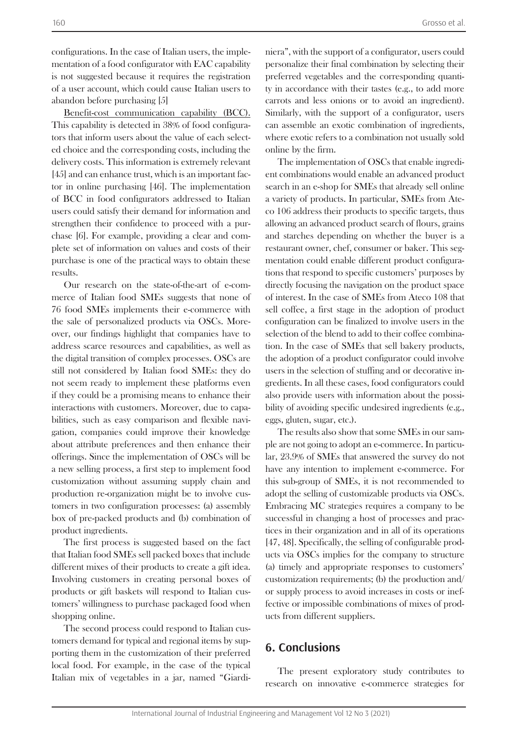configurations. In the case of Italian users, the implementation of a food configurator with EAC capability is not suggested because it requires the registration of a user account, which could cause Italian users to abandon before purchasing [5]

Benefit-cost communication capability (BCC). This capability is detected in 38% of food configurators that inform users about the value of each selected choice and the corresponding costs, including the delivery costs. This information is extremely relevant [45] and can enhance trust, which is an important factor in online purchasing [46]. The implementation of BCC in food configurators addressed to Italian users could satisfy their demand for information and strengthen their confidence to proceed with a purchase [6]. For example, providing a clear and complete set of information on values and costs of their purchase is one of the practical ways to obtain these results.

Our research on the state-of-the-art of e-commerce of Italian food SMEs suggests that none of 76 food SMEs implements their e-commerce with the sale of personalized products via OSCs. Moreover, our findings highlight that companies have to address scarce resources and capabilities, as well as the digital transition of complex processes. OSCs are still not considered by Italian food SMEs: they do not seem ready to implement these platforms even if they could be a promising means to enhance their interactions with customers. Moreover, due to capabilities, such as easy comparison and flexible navigation, companies could improve their knowledge about attribute preferences and then enhance their offerings. Since the implementation of OSCs will be a new selling process, a first step to implement food customization without assuming supply chain and production re-organization might be to involve customers in two configuration processes: (a) assembly box of pre-packed products and (b) combination of product ingredients.

The first process is suggested based on the fact that Italian food SMEs sell packed boxes that include different mixes of their products to create a gift idea. Involving customers in creating personal boxes of products or gift baskets will respond to Italian customers' willingness to purchase packaged food when shopping online.

The second process could respond to Italian customers demand for typical and regional items by supporting them in the customization of their preferred local food. For example, in the case of the typical Italian mix of vegetables in a jar, named "Giardiniera", with the support of a configurator, users could personalize their final combination by selecting their preferred vegetables and the corresponding quantity in accordance with their tastes (e.g., to add more carrots and less onions or to avoid an ingredient). Similarly, with the support of a configurator, users can assemble an exotic combination of ingredients, where exotic refers to a combination not usually sold online by the firm.

The implementation of OSCs that enable ingredient combinations would enable an advanced product search in an e-shop for SMEs that already sell online a variety of products. In particular, SMEs from Ateco 106 address their products to specific targets, thus allowing an advanced product search of flours, grains and starches depending on whether the buyer is a restaurant owner, chef, consumer or baker. This segmentation could enable different product configurations that respond to specific customers' purposes by directly focusing the navigation on the product space of interest. In the case of SMEs from Ateco 108 that sell coffee, a first stage in the adoption of product configuration can be finalized to involve users in the selection of the blend to add to their coffee combination. In the case of SMEs that sell bakery products, the adoption of a product configurator could involve users in the selection of stuffing and or decorative ingredients. In all these cases, food configurators could also provide users with information about the possibility of avoiding specific undesired ingredients (e.g., eggs, gluten, sugar, etc.).

The results also show that some SMEs in our sample are not going to adopt an e-commerce. In particular, 23.9% of SMEs that answered the survey do not have any intention to implement e-commerce. For this sub-group of SMEs, it is not recommended to adopt the selling of customizable products via OSCs. Embracing MC strategies requires a company to be successful in changing a host of processes and practices in their organization and in all of its operations [47, 48]. Specifically, the selling of configurable products via OSCs implies for the company to structure (a) timely and appropriate responses to customers' customization requirements; (b) the production and/ or supply process to avoid increases in costs or ineffective or impossible combinations of mixes of products from different suppliers.

# **6. Conclusions**

The present exploratory study contributes to research on innovative e-commerce strategies for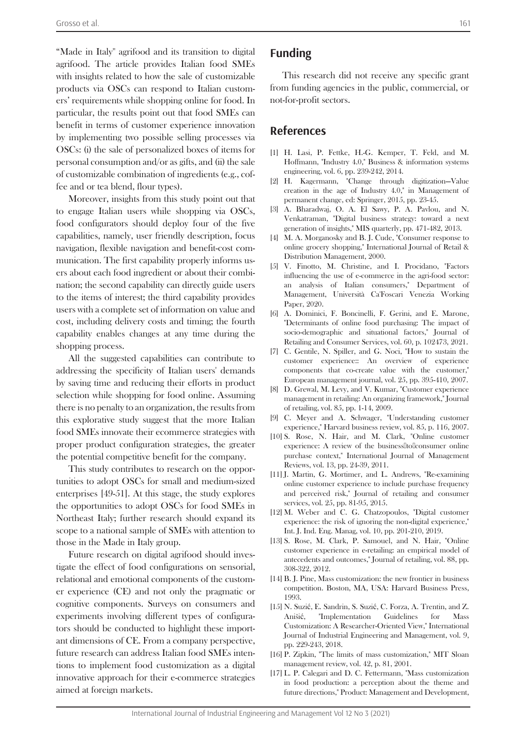"Made in Italy'' agrifood and its transition to digital agrifood. The article provides Italian food SMEs with insights related to how the sale of customizable products via OSCs can respond to Italian customers' requirements while shopping online for food. In particular, the results point out that food SMEs can benefit in terms of customer experience innovation by implementing two possible selling processes via OSCs: (i) the sale of personalized boxes of items for personal consumption and/or as gifts, and (ii) the sale of customizable combination of ingredients (e.g., coffee and or tea blend, flour types).

Moreover, insights from this study point out that to engage Italian users while shopping via OSCs, food configurators should deploy four of the five capabilities, namely, user friendly description, focus navigation, flexible navigation and benefit-cost communication. The first capability properly informs users about each food ingredient or about their combination; the second capability can directly guide users to the items of interest; the third capability provides users with a complete set of information on value and cost, including delivery costs and timing; the fourth capability enables changes at any time during the shopping process.

All the suggested capabilities can contribute to addressing the specificity of Italian users' demands by saving time and reducing their efforts in product selection while shopping for food online. Assuming there is no penalty to an organization, the results from this explorative study suggest that the more Italian food SMEs innovate their ecommerce strategies with proper product configuration strategies, the greater the potential competitive benefit for the company.

This study contributes to research on the opportunities to adopt OSCs for small and medium-sized enterprises [49-51]. At this stage, the study explores the opportunities to adopt OSCs for food SMEs in Northeast Italy; further research should expand its scope to a national sample of SMEs with attention to those in the Made in Italy group.

Future research on digital agrifood should investigate the effect of food configurations on sensorial, relational and emotional components of the customer experience (CE) and not only the pragmatic or cognitive components. Surveys on consumers and experiments involving different types of configurators should be conducted to highlight these important dimensions of CE. From a company perspective, future research can address Italian food SMEs intentions to implement food customization as a digital innovative approach for their e-commerce strategies aimed at foreign markets.

# **Funding**

This research did not receive any specific grant from funding agencies in the public, commercial, or not-for-profit sectors.

# **References**

- [1] H. Lasi, P. Fettke, H.-G. Kemper, T. Feld, and M. Hoffmann, "Industry 4.0," Business & information systems engineering, vol. 6, pp. 239-242, 2014.
- [2] H. Kagermann, "Change through digitization—Value creation in the age of Industry 4.0," in Management of permanent change, ed: Springer, 2015, pp. 23-45.
- [3] A. Bharadwaj, O. A. El Sawy, P. A. Pavlou, and N. Venkatraman, "Digital business strategy: toward a next generation of insights," MIS quarterly, pp. 471-482, 2013.
- [4] M. A. Morganosky and B. J. Cude, "Consumer response to online grocery shopping," International Journal of Retail & Distribution Management, 2000.
- [5] V. Finotto, M. Christine, and I. Procidano, "Factors influencing the use of e-commerce in the agri-food sector: an analysis of Italian consumers," Department of Management, Università Ca'Foscari Venezia Working Paper, 2020.
- [6] A. Dominici, F. Boncinelli, F. Gerini, and E. Marone, "Determinants of online food purchasing: The impact of socio-demographic and situational factors," Journal of Retailing and Consumer Services, vol. 60, p. 102473, 2021.
- [7] C. Gentile, N. Spiller, and G. Noci, "How to sustain the customer experience:: An overview of experience components that co-create value with the customer," European management journal, vol. 25, pp. 395-410, 2007.
- [8] D. Grewal, M. Levy, and V. Kumar, "Customer experience management in retailing: An organizing framework," Journal of retailing, vol. 85, pp. 1-14, 2009.
- [9] C. Meyer and A. Schwager, "Understanding customer experience," Harvard business review, vol. 85, p. 116, 2007.
- [10] S. Rose, N. Hair, and M. Clark, "Online customer experience: A review of the business bolconsumer online purchase context," International Journal of Management Reviews, vol. 13, pp. 24-39, 2011.
- [11] J. Martin, G. Mortimer, and L. Andrews, "Re-examining online customer experience to include purchase frequency and perceived risk," Journal of retailing and consumer services, vol. 25, pp. 81-95, 2015.
- [12] M. Weber and C. G. Chatzopoulos, "Digital customer experience: the risk of ignoring the non-digital experience, Int. J. Ind. Eng. Manag, vol. 10, pp. 201-210, 2019.
- [13] S. Rose, M. Clark, P. Samouel, and N. Hair, "Online customer experience in e-retailing: an empirical model of antecedents and outcomes," Journal of retailing, vol. 88, pp. 308-322, 2012.
- [14] B. J. Pine, Mass customization: the new frontier in business competition. Boston, MA, USA: Harvard Business Press, 1993.
- [15] N. Suzić, E. Sandrin, S. Suzić, C. Forza, A. Trentin, and Z. Anišić, "Implementation Guidelines for Mass Customization: A Researcher-Oriented View," International Journal of Industrial Engineering and Management, vol. 9, pp. 229-243, 2018.
- [16] P. Zipkin, "The limits of mass customization," MIT Sloan management review, vol. 42, p. 81, 2001.
- [17] L. P. Calegari and D. C. Fettermann, "Mass customization in food production: a perception about the theme and future directions," Product: Management and Development,